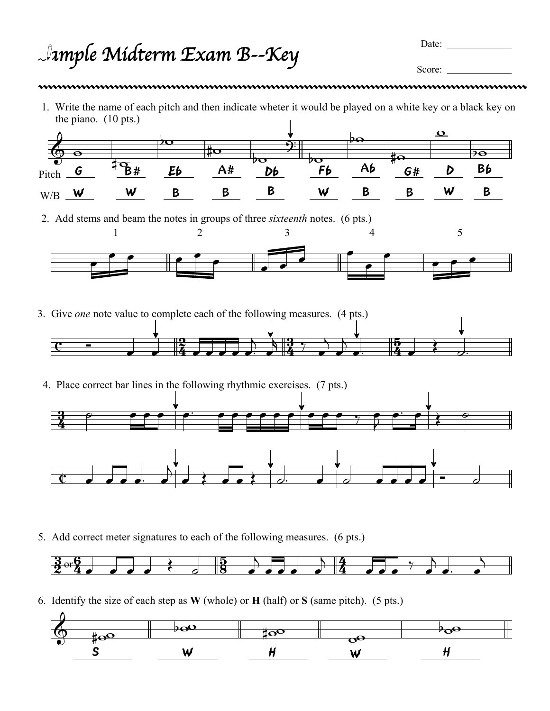*Sample Midterm Exam* B*--Key*

Date:

Score:

1. Write the name of each pitch and then indicate wheter it would be played on a white key or a black key on the piano. (10 pts.)



2. Add stems and beam the notes in groups of three *sixteenth* notes. (6 pts.)



- $rac{1}{2}$   $rac{1}{4}$  $\frac{2}{4}$ <u>3</u>  $\frac{3}{4}$  $\overline{5}$  $\frac{5}{4}$ 3. Give *one* note value to complete each of the following measures. (4 pts.)  $\begin{array}{ccc} \cdot & \cdot & \cdot \\ \cdot & \cdot & \cdot \\ \cdot & \cdot & \cdot \end{array}$  $\overline{\phantom{0}}$  $\overline{\phantom{a}}$  $\frac{3}{4}$  ,  $\overline{\phantom{a}}$  $\overline{\phantom{a}}$  $\overline{\phantom{0}}$  $\frac{5}{4}$   $\frac{3}{4}$   $\frac{3}{4}$   $\frac{3}{4}$
- 4. Place correct bar lines in the following rhythmic exercises. (7 pts.)



5. Add correct meter signatures to each of the following measures. (6 pts.)



6. Identify the size of each step as **W** (whole) or **H** (half) or **S** (same pitch). (5 pts.)

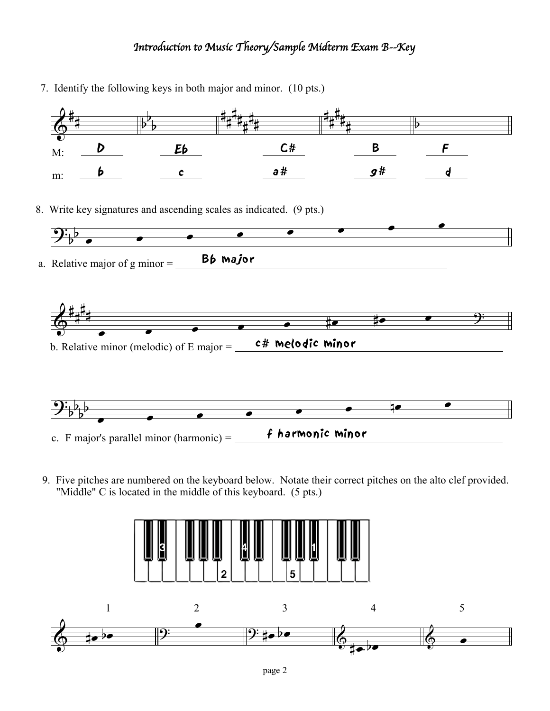## *Introduction to Music Theory/Sample Midterm Exam* B*--Key*

- $\delta^*$  $\sharp$ 7. Identify the following keys in both major and minor. (10 pts.) M: m: D b  $\frac{1}{2}$  $\frac{1}{2}$  $\overline{\mathbf{b}}$ Eb c  $\sharp$  $\sharp$  $\sharp$ ŧ  $\frac{1}{4}$  $\sharp$  $\frac{1}{4}$ C#  $\sharp$  $\sharp$ H. ŧ.  $\frac{1}{4}$ g# B  $\overline{\mathbf{b}}$ F d l a#  $\mathbf{\mathcal{G}}^{\mathbf{\cdot}}_{\flat}$  $\overline{\mathbf{b}}$ 8. Write key signatures and ascending scales as indicated. (9 pts.) a. Relative major of g minor  $=$  **Bb major**  $\bullet$   $\bullet$   $\bullet$  $\qquad \qquad \bullet \qquad \bullet \qquad \bullet \qquad \bullet$  $\delta^*$  $\sharp$  $\sharp$  $\sharp$ b. Relative minor (melodic) of E major  $=$   $-$  c# melodic minor  $\bullet$   $\bullet$   $\bullet$   $\bullet$  $\bullet$  # $\bullet$  # $\bullet$   $\bullet$  9:  $\mathbf{\mathcal{Y}}^{\mathbf{:}}_{b}$  $\overline{P}$  $\overline{b}$  $\overline{\mathbf{b}}$ c. F major's parallel minor (harmonic) =  $\int f h$ armonic minor  $\overline{\phantom{a}}$   $\overline{\phantom{a}}$   $\overline{\phantom{a}}$   $\overline{\phantom{a}}$  $\bullet$   $\bullet$   $\bullet$   $\bullet$ 
	- 9. Five pitches are numbered on the keyboard below. Notate their correct pitches on the alto clef provided. "Middle" C is located in the middle of this keyboard. (5 pts.)

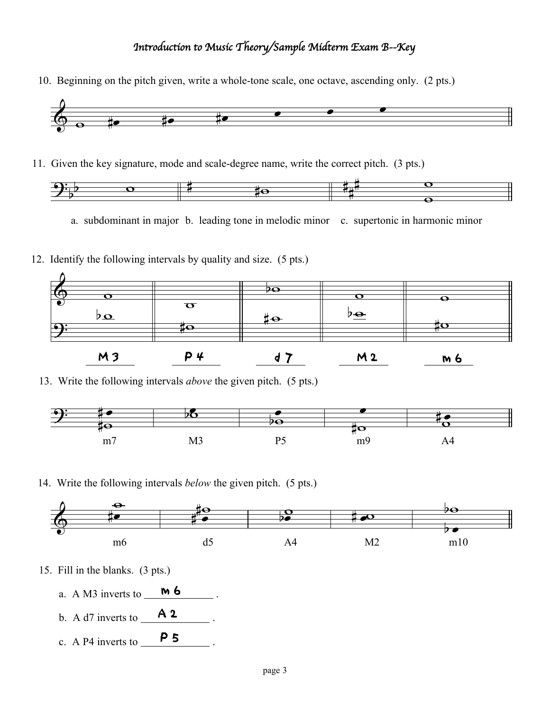## *Introduction to Music Theory/Sample Midterm Exam* B*--Key*

10. Beginning on the pitch given, write a whole-tone scale, one octave, ascending only. (2 pts.)



11. Given the key signature, mode and scale-degree name, write the correct pitch. (3 pts.)



a. subdominant in major b. leading tone in melodic minor c. supertonic in harmonic minor

12. Identify the following intervals by quality and size. (5 pts.)



13. Write the following intervals *above* the given pitch. (5 pts.)



14. Write the following intervals *below* the given pitch. (5 pts.)



- 15. Fill in the blanks. (3 pts.)
	- a. A M3 inverts to  $\begin{array}{c} \text{m} \text{6} \\ \text{m} \end{array}$ .
	- b. A d7 inverts to  $\begin{array}{c} \n\mathbf{A} \mathbf{2} \n\end{array}$ .
	- c. A P4 inverts to  $\overline{\hspace{1cm}}$  **P 5**.